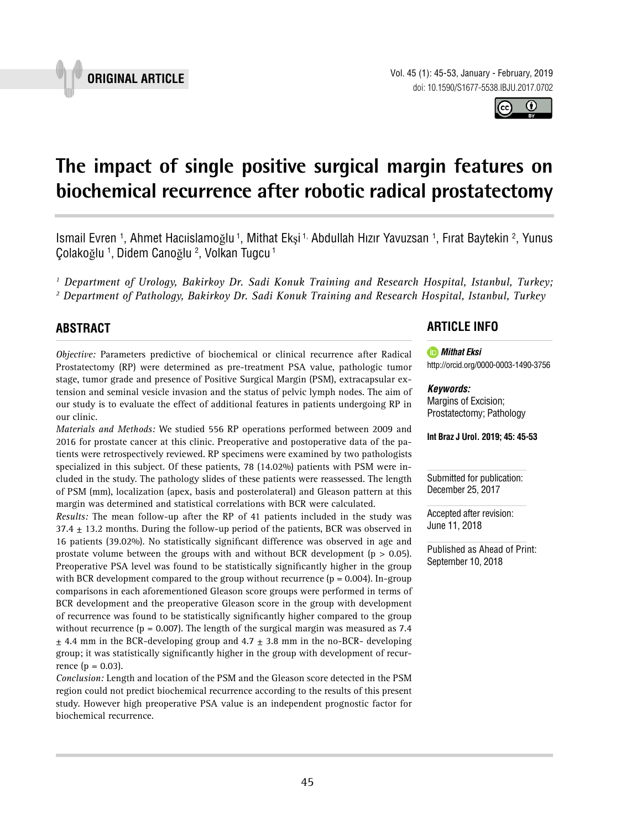Vol. 45 (1): 45-53, January - February, 2019 doi: 10.1590/S1677-5538.IBJU.2017.0702

# **The impact of single positive surgical margin features on biochemical recurrence after robotic radical prostatectomy \_\_\_\_\_\_\_\_\_\_\_\_\_\_\_\_\_\_\_\_\_\_\_\_\_\_\_\_\_\_\_\_\_\_\_\_\_\_\_\_\_\_\_\_\_\_\_**

Ismail Evren <sup>1</sup>, Ahmet Hacıislamoğlu <sup>1</sup>, Mithat Ekşi <sup>1,</sup> Abdullah Hızır Yavuzsan <sup>1</sup>, Fırat Baytekin <sup>2</sup>, Yunus Çolakoğlu 1 , Didem Canoğlu 2 , Volkan Tugcu 1

<sup>1</sup> Department of Urology, Bakirkoy Dr. Sadi Konuk Training and Research Hospital, Istanbul, Turkey; *2 Department of Pathology, Bakirkoy Dr. Sadi Konuk Training and Research Hospital, Istanbul, Turkey*

# **ABSTRACT**

*Objective:* Parameters predictive of biochemical or clinical recurrence after Radical Prostatectomy (RP) were determined as pre-treatment PSA value, pathologic tumor stage, tumor grade and presence of Positive Surgical Margin (PSM), extracapsular extension and seminal vesicle invasion and the status of pelvic lymph nodes. The aim of our study is to evaluate the effect of additional features in patients undergoing RP in our clinic.

*Materials and Methods:* We studied 556 RP operations performed between 2009 and 2016 for prostate cancer at this clinic. Preoperative and postoperative data of the patients were retrospectively reviewed. RP specimens were examined by two pathologists specialized in this subject. Of these patients, 78 (14.02%) patients with PSM were included in the study. The pathology slides of these patients were reassessed. The length of PSM (mm), localization (apex, basis and posterolateral) and Gleason pattern at this margin was determined and statistical correlations with BCR were calculated.

*Results:* The mean follow-up after the RP of 41 patients included in the study was  $37.4 \pm 13.2$  months. During the follow-up period of the patients, BCR was observed in 16 patients (39.02%). No statistically significant difference was observed in age and prostate volume between the groups with and without BCR development ( $p > 0.05$ ). Preoperative PSA level was found to be statistically significantly higher in the group with BCR development compared to the group without recurrence  $(p = 0.004)$ . In-group comparisons in each aforementioned Gleason score groups were performed in terms of BCR development and the preoperative Gleason score in the group with development of recurrence was found to be statistically significantly higher compared to the group without recurrence ( $p = 0.007$ ). The length of the surgical margin was measured as 7.4  $\pm$  4.4 mm in the BCR-developing group and 4.7  $\pm$  3.8 mm in the no-BCR- developing group; it was statistically significantly higher in the group with development of recurrence ( $p = 0.03$ ).

*Conclusion:* Length and location of the PSM and the Gleason score detected in the PSM region could not predict biochemical recurrence according to the results of this present study. However high preoperative PSA value is an independent prognostic factor for biochemical recurrence.

# **ARTICLE INFO**

*Mithat Eksi* http://orcid.org/0000-0003-1490-3756

*Keywords:*

Margins of Excision; Prostatectomy; Pathology

**Int Braz J Urol. 2019; 45: 45-53**

Submitted for publication: December 25, 2017

Accepted after revision: June 11, 2018

Published as Ahead of Print: September 10, 2018



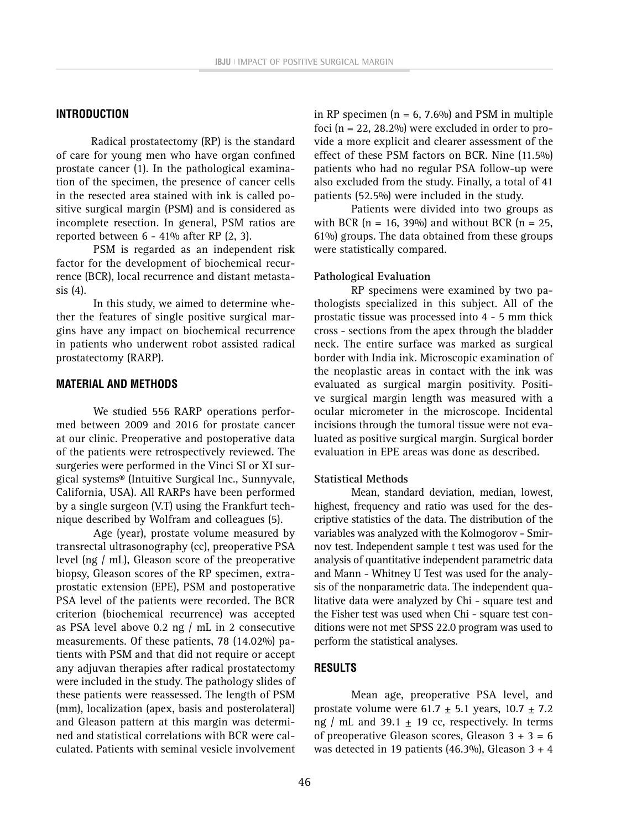# **INTRODUCTION**

Radical prostatectomy (RP) is the standard of care for young men who have organ confined prostate cancer (1). In the pathological examination of the specimen, the presence of cancer cells in the resected area stained with ink is called positive surgical margin (PSM) and is considered as incomplete resection. In general, PSM ratios are reported between 6 - 41% after RP (2, 3).

PSM is regarded as an independent risk factor for the development of biochemical recurrence (BCR), local recurrence and distant metastasis (4).

In this study, we aimed to determine whether the features of single positive surgical margins have any impact on biochemical recurrence in patients who underwent robot assisted radical prostatectomy (RARP).

# **MATERIAL AND METHODS**

We studied 556 RARP operations performed between 2009 and 2016 for prostate cancer at our clinic. Preoperative and postoperative data of the patients were retrospectively reviewed. The surgeries were performed in the Vinci SI or XI surgical systems® (Intuitive Surgical Inc., Sunnyvale, California, USA). All RARPs have been performed by a single surgeon (V.T) using the Frankfurt technique described by Wolfram and colleagues (5).

Age (year), prostate volume measured by transrectal ultrasonography (cc), preoperative PSA level (ng / mL), Gleason score of the preoperative biopsy, Gleason scores of the RP specimen, extraprostatic extension (EPE), PSM and postoperative PSA level of the patients were recorded. The BCR criterion (biochemical recurrence) was accepted as PSA level above 0.2 ng / mL in 2 consecutive measurements. Of these patients, 78 (14.02%) patients with PSM and that did not require or accept any adjuvan therapies after radical prostatectomy were included in the study. The pathology slides of these patients were reassessed. The length of PSM (mm), localization (apex, basis and posterolateral) and Gleason pattern at this margin was determined and statistical correlations with BCR were calculated. Patients with seminal vesicle involvement

in RP specimen ( $n = 6$ , 7.6%) and PSM in multiple foci ( $n = 22$ , 28.2%) were excluded in order to provide a more explicit and clearer assessment of the effect of these PSM factors on BCR. Nine (11.5%) patients who had no regular PSA follow-up were also excluded from the study. Finally, a total of 41 patients (52.5%) were included in the study.

Patients were divided into two groups as with BCR ( $n = 16$ , 39%) and without BCR ( $n = 25$ , 61%) groups. The data obtained from these groups were statistically compared.

#### **Pathological Evaluation**

RP specimens were examined by two pathologists specialized in this subject. All of the prostatic tissue was processed into 4 - 5 mm thick cross - sections from the apex through the bladder neck. The entire surface was marked as surgical border with India ink. Microscopic examination of the neoplastic areas in contact with the ink was evaluated as surgical margin positivity. Positive surgical margin length was measured with a ocular micrometer in the microscope. Incidental incisions through the tumoral tissue were not evaluated as positive surgical margin. Surgical border evaluation in EPE areas was done as described.

#### **Statistical Methods**

Mean, standard deviation, median, lowest, highest, frequency and ratio was used for the descriptive statistics of the data. The distribution of the variables was analyzed with the Kolmogorov - Smirnov test. Independent sample t test was used for the analysis of quantitative independent parametric data and Mann - Whitney U Test was used for the analysis of the nonparametric data. The independent qualitative data were analyzed by Chi - square test and the Fisher test was used when Chi - square test conditions were not met SPSS 22.0 program was used to perform the statistical analyses.

# **RESULTS**

Mean age, preoperative PSA level, and prostate volume were  $61.7 \pm 5.1$  years,  $10.7 \pm 7.2$ ng / mL and 39.1  $\pm$  19 cc, respectively. In terms of preoperative Gleason scores, Gleason  $3 + 3 = 6$ was detected in 19 patients (46.3%), Gleason  $3 + 4$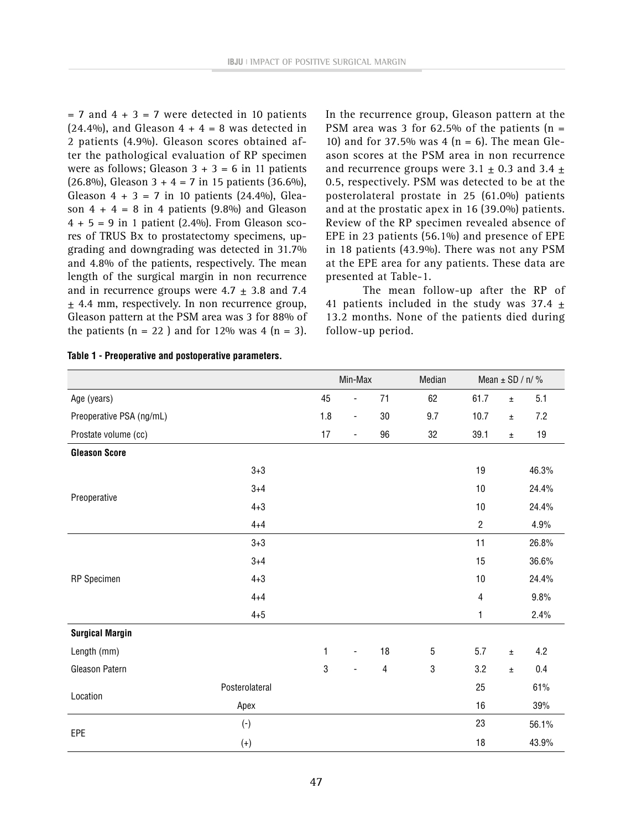$= 7$  and  $4 + 3 = 7$  were detected in 10 patients  $(24.4\%)$ , and Gleason  $4 + 4 = 8$  was detected in 2 patients (4.9%). Gleason scores obtained after the pathological evaluation of RP specimen were as follows; Gleason  $3 + 3 = 6$  in 11 patients  $(26.8\%)$ , Gleason 3 + 4 = 7 in 15 patients  $(36.6\%)$ , Gleason  $4 + 3 = 7$  in 10 patients (24.4%), Gleason  $4 + 4 = 8$  in 4 patients (9.8%) and Gleason  $4 + 5 = 9$  in 1 patient (2.4%). From Gleason scores of TRUS Bx to prostatectomy specimens, upgrading and downgrading was detected in 31.7% and 4.8% of the patients, respectively. The mean length of the surgical margin in non recurrence and in recurrence groups were  $4.7 \pm 3.8$  and 7.4  $±$  4.4 mm, respectively. In non recurrence group, Gleason pattern at the PSM area was 3 for 88% of the patients  $(n = 22)$  and for 12% was 4  $(n = 3)$ . In the recurrence group, Gleason pattern at the PSM area was 3 for 62.5% of the patients  $(n =$ 10) and for 37.5% was 4 ( $n = 6$ ). The mean Gleason scores at the PSM area in non recurrence and recurrence groups were  $3.1 \pm 0.3$  and  $3.4 \pm 1.5$ 0.5, respectively. PSM was detected to be at the posterolateral prostate in 25 (61.0%) patients and at the prostatic apex in 16 (39.0%) patients. Review of the RP specimen revealed absence of EPE in 23 patients (56.1%) and presence of EPE in 18 patients (43.9%). There was not any PSM at the EPE area for any patients. These data are presented at Table-1.

The mean follow-up after the RP of 41 patients included in the study was  $37.4 \pm$ 13.2 months. None of the patients died during follow-up period.

|                          |                |              | Min-Max                  |                          | Median      |                | Mean $\pm$ SD / n/% |       |
|--------------------------|----------------|--------------|--------------------------|--------------------------|-------------|----------------|---------------------|-------|
| Age (years)              |                | 45           | ä,                       | 71                       | 62          | 61.7           | $\pm$               | 5.1   |
| Preoperative PSA (ng/mL) |                | 1.8          | $\overline{\phantom{a}}$ | 30                       | 9.7         | 10.7           | $\pm$               | 7.2   |
| Prostate volume (cc)     |                | 17           | $\blacksquare$           | 96                       | 32          | 39.1           | $\pm$               | 19    |
| <b>Gleason Score</b>     |                |              |                          |                          |             |                |                     |       |
|                          | $3 + 3$        |              |                          |                          |             | 19             |                     | 46.3% |
|                          | $3 + 4$        |              |                          |                          |             | $10$           |                     | 24.4% |
| Preoperative             | $4 + 3$        |              |                          |                          |             | $10$           |                     | 24.4% |
|                          | $4 + 4$        |              |                          |                          |             | $\overline{2}$ |                     | 4.9%  |
|                          | $3 + 3$        |              |                          |                          |             | 11             |                     | 26.8% |
|                          | $3 + 4$        |              |                          |                          |             | 15             |                     | 36.6% |
| RP Specimen              | $4 + 3$        |              |                          |                          |             | $10$           |                     | 24.4% |
|                          | $4 + 4$        |              |                          |                          |             | $\overline{4}$ |                     | 9.8%  |
|                          | $4 + 5$        |              |                          |                          |             | 1              |                     | 2.4%  |
| <b>Surgical Margin</b>   |                |              |                          |                          |             |                |                     |       |
| Length (mm)              |                | $\mathbf{1}$ |                          | 18                       | $\mathbf 5$ | 5.7            | $\pm$               | 4.2   |
| Gleason Patern           |                | 3            |                          | $\overline{\mathcal{A}}$ | $\sqrt{3}$  | 3.2            | $\pm$               | 0.4   |
|                          | Posterolateral |              |                          |                          |             | 25             |                     | 61%   |
| Location                 | Apex           |              |                          |                          |             | 16             |                     | 39%   |
|                          | $(\mathsf{-})$ |              |                          |                          |             | 23             |                     | 56.1% |
| EPE                      | $(+)$          |              |                          |                          |             | 18             |                     | 43.9% |

|  | Table 1 - Preoperative and postoperative parameters. |  |  |  |
|--|------------------------------------------------------|--|--|--|
|--|------------------------------------------------------|--|--|--|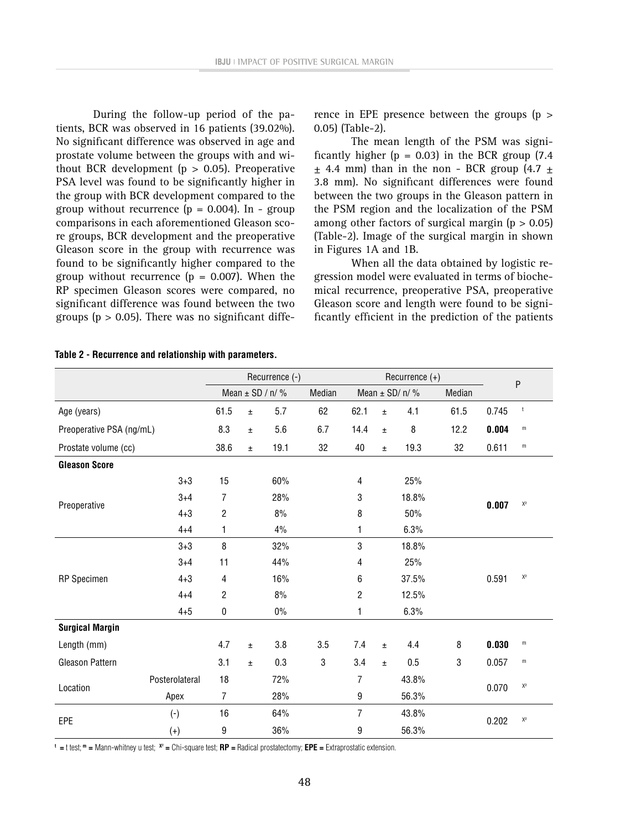During the follow-up period of the patients, BCR was observed in 16 patients (39.02%). No significant difference was observed in age and prostate volume between the groups with and without BCR development ( $p > 0.05$ ). Preoperative PSA level was found to be significantly higher in the group with BCR development compared to the group without recurrence  $(p = 0.004)$ . In - group comparisons in each aforementioned Gleason score groups, BCR development and the preoperative Gleason score in the group with recurrence was found to be significantly higher compared to the group without recurrence  $(p = 0.007)$ . When the RP specimen Gleason scores were compared, no significant difference was found between the two groups ( $p > 0.05$ ). There was no significant difference in EPE presence between the groups (p > 0.05) (Table-2).

The mean length of the PSM was significantly higher ( $p = 0.03$ ) in the BCR group (7.4)  $+$  4.4 mm) than in the non - BCR group  $(4.7 +$ 3.8 mm). No significant differences were found between the two groups in the Gleason pattern in the PSM region and the localization of the PSM among other factors of surgical margin  $(p > 0.05)$ (Table-2). Image of the surgical margin in shown in Figures 1A and 1B.

When all the data obtained by logistic regression model were evaluated in terms of biochemical recurrence, preoperative PSA, preoperative Gleason score and length were found to be significantly efficient in the prediction of the patients

|                          |                | Recurrence (-)      |       |        |     | Recurrence $(+)$   |       |        |           |       |                |
|--------------------------|----------------|---------------------|-------|--------|-----|--------------------|-------|--------|-----------|-------|----------------|
|                          |                | Mean $\pm$ SD / n/% |       | Median |     | Mean $\pm$ SD/ n/% |       | Median | ${\sf P}$ |       |                |
| Age (years)              |                | 61.5                | Ŧ     | 5.7    | 62  | 62.1               | $\pm$ | 4.1    | 61.5      | 0.745 | $^\mathrm{t}$  |
| Preoperative PSA (ng/mL) |                | 8.3                 | Ŧ     | 5.6    | 6.7 | 14.4               | $\pm$ | 8      | 12.2      | 0.004 | ${\sf m}$      |
| Prostate volume (cc)     |                | 38.6                | $\pm$ | 19.1   | 32  | 40                 | $\pm$ | 19.3   | 32        | 0.611 | $\mathsf m$    |
| <b>Gleason Score</b>     |                |                     |       |        |     |                    |       |        |           |       |                |
|                          | $3 + 3$        | 15                  |       | 60%    |     | $\overline{4}$     |       | 25%    |           | 0.007 |                |
| Preoperative             | $3 + 4$        | $\overline{7}$      |       | 28%    |     | 3                  |       | 18.8%  |           |       | $\mathsf{X}^2$ |
|                          | $4 + 3$        | $\overline{c}$      |       | 8%     |     | 8                  |       | 50%    |           |       |                |
|                          | $4 + 4$        | 1                   |       | 4%     |     | 1                  |       | 6.3%   |           |       |                |
|                          | $3 + 3$        | 8                   |       | 32%    |     | 3                  |       | 18.8%  |           | 0.591 |                |
|                          | $3 + 4$        | 11                  |       | 44%    |     | 4                  |       | 25%    |           |       |                |
| <b>RP</b> Specimen       | $4 + 3$        | $\overline{4}$      |       | 16%    |     | 6                  |       | 37.5%  |           |       | $\mathsf{X}^2$ |
|                          | $4 + 4$        | $\overline{c}$      |       | 8%     |     | 2                  |       | 12.5%  |           |       |                |
|                          | $4 + 5$        | $\pmb{0}$           |       | $0\%$  |     | 1                  |       | 6.3%   |           |       |                |
| <b>Surgical Margin</b>   |                |                     |       |        |     |                    |       |        |           |       |                |
| Length (mm)              |                | 4.7                 | $\pm$ | 3.8    | 3.5 | 7.4                | Ŧ.    | 4.4    | 8         | 0.030 | m              |
| Gleason Pattern          |                | 3.1                 | $\pm$ | 0.3    | 3   | 3.4                | $\pm$ | 0.5    | 3         | 0.057 | m              |
| Location                 | Posterolateral | 18                  |       | 72%    |     | 7                  |       | 43.8%  |           |       | $\mathsf{X}^2$ |
|                          | Apex           | $\overline{7}$      |       | 28%    |     | 9                  |       | 56.3%  |           | 0.070 |                |
| EPE                      | $(-)$          | 16                  |       | 64%    |     | $\overline{7}$     |       | 43.8%  |           |       | $\mathsf{X}^2$ |
|                          | $(+)$          | 9                   |       | 36%    |     | 9                  |       | 56.3%  |           | 0.202 |                |

**Table 2 - Recurrence and relationship with parameters.**

**t =** t test; **m =** Mann-whitney u test; **X² =** Chi-square test; **RP =** Radical prostatectomy; **EPE =** Extraprostatic extension.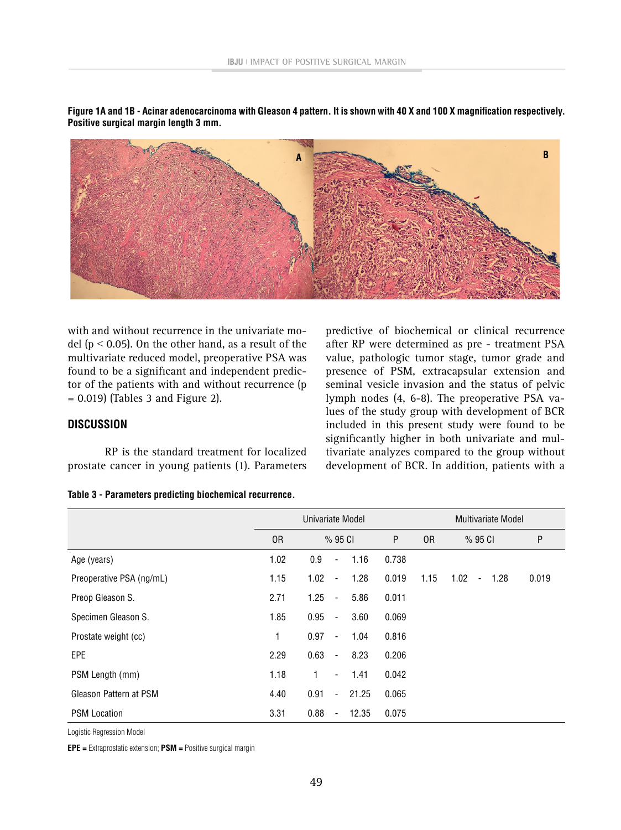

**Figure 1A and 1B - Acinar adenocarcinoma with Gleason 4 pattern. It is shown with 40 X and 100 X magnification respectively. Positive surgical margin length 3 mm.**

with and without recurrence in the univariate model ( $p < 0.05$ ). On the other hand, as a result of the multivariate reduced model, preoperative PSA was found to be a significant and independent predictor of the patients with and without recurrence (p  $= 0.019$  (Tables 3 and Figure 2).

**DISCUSSION**

RP is the standard treatment for localized prostate cancer in young patients (1). Parameters predictive of biochemical or clinical recurrence after RP were determined as pre - treatment PSA value, pathologic tumor stage, tumor grade and presence of PSM, extracapsular extension and seminal vesicle invasion and the status of pelvic lymph nodes (4, 6-8). The preoperative PSA values of the study group with development of BCR included in this present study were found to be significantly higher in both univariate and multivariate analyzes compared to the group without development of BCR. In addition, patients with a

#### **Table 3 - Parameters predicting biochemical recurrence.**

|                          |                | Univariate Model                          | Multivariate Model |                |                                          |       |  |
|--------------------------|----------------|-------------------------------------------|--------------------|----------------|------------------------------------------|-------|--|
|                          | 0 <sub>R</sub> | $%95$ Cl                                  | P                  | 0 <sub>R</sub> | $%95$ Cl                                 | P     |  |
| Age (years)              | 1.02           | 0.9<br>1.16<br>$\overline{\phantom{a}}$   | 0.738              |                |                                          |       |  |
| Preoperative PSA (ng/mL) | 1.15           | 1.02<br>1.28<br>$\overline{\phantom{a}}$  | 0.019              | 1.15           | 1.02<br>1.28<br>$\overline{\phantom{0}}$ | 0.019 |  |
| Preop Gleason S.         | 2.71           | 1.25<br>5.86<br>$\overline{\phantom{a}}$  | 0.011              |                |                                          |       |  |
| Specimen Gleason S.      | 1.85           | 0.95<br>3.60<br>$\overline{\phantom{a}}$  | 0.069              |                |                                          |       |  |
| Prostate weight (cc)     | 1              | 0.97<br>1.04<br>$\overline{\phantom{a}}$  | 0.816              |                |                                          |       |  |
| EPE                      | 2.29           | 0.63<br>8.23<br>$\overline{\phantom{a}}$  | 0.206              |                |                                          |       |  |
| PSM Length (mm)          | 1.18           | 1.41<br>1<br>$\overline{\phantom{a}}$     | 0.042              |                |                                          |       |  |
| Gleason Pattern at PSM   | 4.40           | 0.91<br>21.25<br>$\blacksquare$           | 0.065              |                |                                          |       |  |
| <b>PSM Location</b>      | 3.31           | 0.88<br>12.35<br>$\overline{\phantom{a}}$ | 0.075              |                |                                          |       |  |

Logistic Regression Model

**EPE =** Extraprostatic extension; **PSM =** Positive surgical margin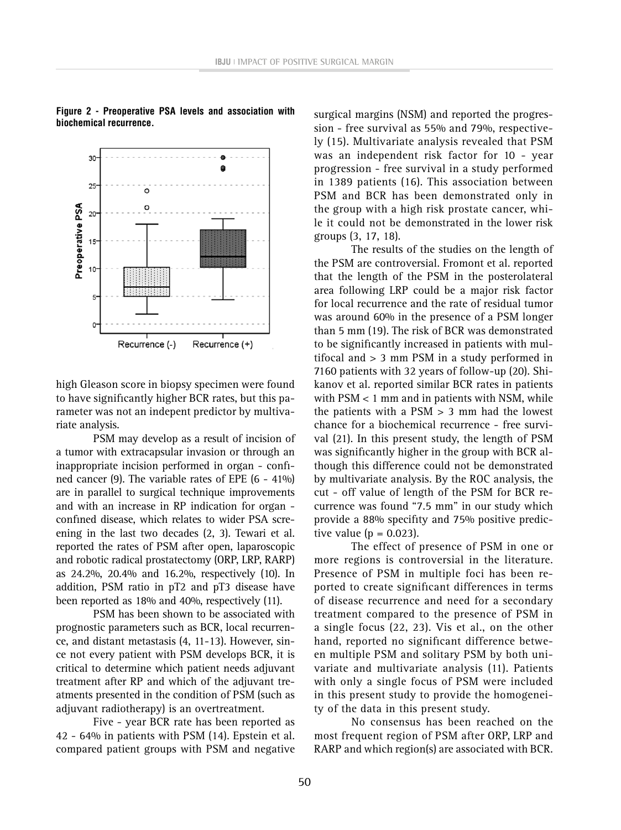

**Figure 2 - Preoperative PSA levels and association with biochemical recurrence.**

high Gleason score in biopsy specimen were found to have significantly higher BCR rates, but this parameter was not an indepent predictor by multivariate analysis.

PSM may develop as a result of incision of a tumor with extracapsular invasion or through an inappropriate incision performed in organ - confined cancer (9). The variable rates of EPE (6 - 41%) are in parallel to surgical technique improvements and with an increase in RP indication for organ confined disease, which relates to wider PSA screening in the last two decades (2, 3). Tewari et al. reported the rates of PSM after open, laparoscopic and robotic radical prostatectomy (ORP, LRP, RARP) as 24.2%, 20.4% and 16.2%, respectively (10). In addition, PSM ratio in pT2 and pT3 disease have been reported as 18% and 40%, respectively (11).

PSM has been shown to be associated with prognostic parameters such as BCR, local recurrence, and distant metastasis (4, 11-13). However, since not every patient with PSM develops BCR, it is critical to determine which patient needs adjuvant treatment after RP and which of the adjuvant treatments presented in the condition of PSM (such as adjuvant radiotherapy) is an overtreatment.

Five - year BCR rate has been reported as 42 - 64% in patients with PSM (14). Epstein et al. compared patient groups with PSM and negative surgical margins (NSM) and reported the progression - free survival as 55% and 79%, respectively (15). Multivariate analysis revealed that PSM was an independent risk factor for 10 - year progression - free survival in a study performed in 1389 patients (16). This association between PSM and BCR has been demonstrated only in the group with a high risk prostate cancer, while it could not be demonstrated in the lower risk groups (3, 17, 18).

The results of the studies on the length of the PSM are controversial. Fromont et al. reported that the length of the PSM in the posterolateral area following LRP could be a major risk factor for local recurrence and the rate of residual tumor was around 60% in the presence of a PSM longer than 5 mm (19). The risk of BCR was demonstrated to be significantly increased in patients with multifocal and > 3 mm PSM in a study performed in 7160 patients with 32 years of follow-up (20). Shikanov et al. reported similar BCR rates in patients with PSM < 1 mm and in patients with NSM, while the patients with a  $PSM > 3$  mm had the lowest chance for a biochemical recurrence - free survival (21). In this present study, the length of PSM was significantly higher in the group with BCR although this difference could not be demonstrated by multivariate analysis. By the ROC analysis, the cut - off value of length of the PSM for BCR recurrence was found "7.5 mm" in our study which provide a 88% specifity and 75% positive predictive value  $(p = 0.023)$ .

The effect of presence of PSM in one or more regions is controversial in the literature. Presence of PSM in multiple foci has been reported to create significant differences in terms of disease recurrence and need for a secondary treatment compared to the presence of PSM in a single focus (22, 23). Vis et al., on the other hand, reported no significant difference between multiple PSM and solitary PSM by both univariate and multivariate analysis (11). Patients with only a single focus of PSM were included in this present study to provide the homogeneity of the data in this present study.

No consensus has been reached on the most frequent region of PSM after ORP, LRP and RARP and which region(s) are associated with BCR.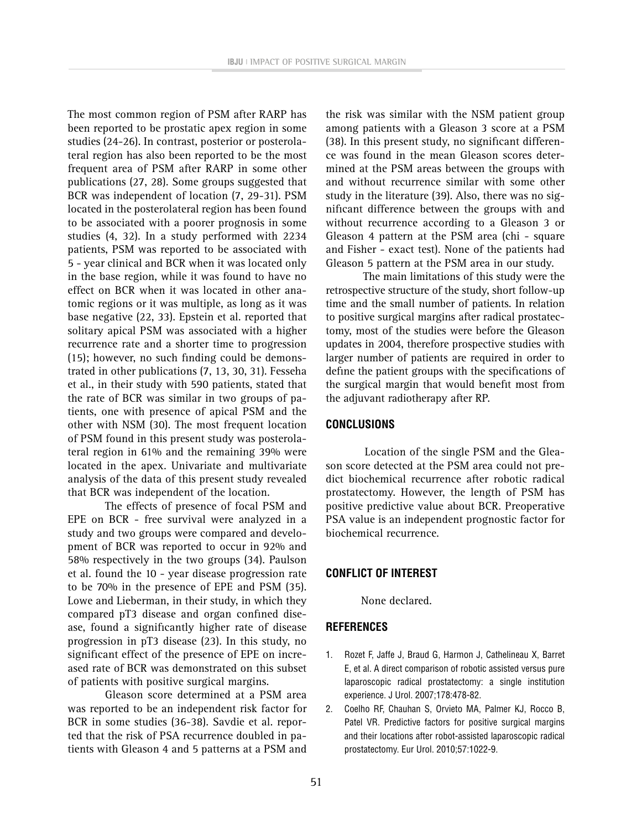The most common region of PSM after RARP has been reported to be prostatic apex region in some studies (24-26). In contrast, posterior or posterolateral region has also been reported to be the most frequent area of PSM after RARP in some other publications (27, 28). Some groups suggested that BCR was independent of location (7, 29-31). PSM located in the posterolateral region has been found to be associated with a poorer prognosis in some studies (4, 32). In a study performed with 2234 patients, PSM was reported to be associated with 5 - year clinical and BCR when it was located only in the base region, while it was found to have no effect on BCR when it was located in other anatomic regions or it was multiple, as long as it was base negative (22, 33). Epstein et al. reported that solitary apical PSM was associated with a higher recurrence rate and a shorter time to progression (15); however, no such finding could be demonstrated in other publications (7, 13, 30, 31). Fesseha et al., in their study with 590 patients, stated that the rate of BCR was similar in two groups of patients, one with presence of apical PSM and the other with NSM (30). The most frequent location of PSM found in this present study was posterolateral region in 61% and the remaining 39% were located in the apex. Univariate and multivariate analysis of the data of this present study revealed that BCR was independent of the location.

The effects of presence of focal PSM and EPE on BCR - free survival were analyzed in a study and two groups were compared and development of BCR was reported to occur in 92% and 58% respectively in the two groups (34). Paulson et al. found the 10 - year disease progression rate to be 70% in the presence of EPE and PSM (35). Lowe and Lieberman, in their study, in which they compared pT3 disease and organ confined disease, found a significantly higher rate of disease progression in pT3 disease (23). In this study, no significant effect of the presence of EPE on increased rate of BCR was demonstrated on this subset of patients with positive surgical margins.

Gleason score determined at a PSM area was reported to be an independent risk factor for BCR in some studies (36-38). Savdie et al. reported that the risk of PSA recurrence doubled in patients with Gleason 4 and 5 patterns at a PSM and

the risk was similar with the NSM patient group among patients with a Gleason 3 score at a PSM (38). In this present study, no significant difference was found in the mean Gleason scores determined at the PSM areas between the groups with and without recurrence similar with some other study in the literature (39). Also, there was no significant difference between the groups with and without recurrence according to a Gleason 3 or Gleason 4 pattern at the PSM area (chi - square and Fisher - exact test). None of the patients had Gleason 5 pattern at the PSM area in our study.

The main limitations of this study were the retrospective structure of the study, short follow-up time and the small number of patients. In relation to positive surgical margins after radical prostatectomy, most of the studies were before the Gleason updates in 2004, therefore prospective studies with larger number of patients are required in order to define the patient groups with the specifications of the surgical margin that would benefit most from the adjuvant radiotherapy after RP.

## **CONCLUSIONS**

 Location of the single PSM and the Gleason score detected at the PSM area could not predict biochemical recurrence after robotic radical prostatectomy. However, the length of PSM has positive predictive value about BCR. Preoperative PSA value is an independent prognostic factor for biochemical recurrence.

## **CONFLICT OF INTEREST**

None declared.

### **REFERENCES**

- 1. Rozet F, Jaffe J, Braud G, Harmon J, Cathelineau X, Barret E, et al. A direct comparison of robotic assisted versus pure laparoscopic radical prostatectomy: a single institution experience. J Urol. 2007;178:478-82.
- 2. Coelho RF, Chauhan S, Orvieto MA, Palmer KJ, Rocco B, Patel VR. Predictive factors for positive surgical margins and their locations after robot-assisted laparoscopic radical prostatectomy. Eur Urol. 2010;57:1022-9.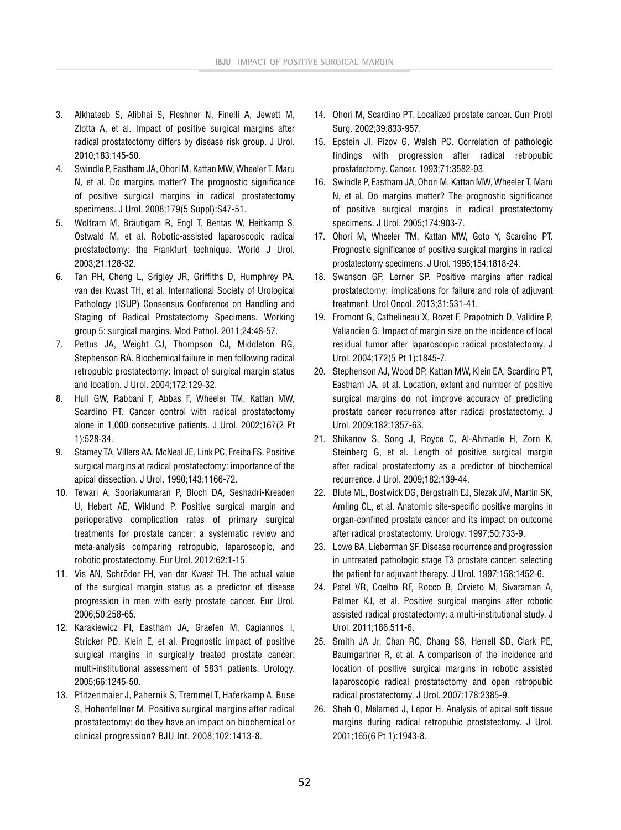- 3. Alkhateeb S, Alibhai S, Fleshner N, Finelli A, Jewett M, Zlotta A, et al. Impact of positive surgical margins after radical prostatectomy differs by disease risk group. J Urol. 2010;183:145-50.
- 4. Swindle P, Eastham JA, Ohori M, Kattan MW, Wheeler T, Maru N, et al. Do margins matter? The prognostic significance of positive surgical margins in radical prostatectomy specimens. J Urol. 2008;179(5 Suppl):S47-51.
- 5. Wolfram M, Bräutigam R, Engl T, Bentas W, Heitkamp S, Ostwald M, et al. Robotic-assisted laparoscopic radical prostatectomy: the Frankfurt technique. World J Urol. 2003;21:128-32.
- 6. Tan PH, Cheng L, Srigley JR, Griffiths D, Humphrey PA, van der Kwast TH, et al. International Society of Urological Pathology (ISUP) Consensus Conference on Handling and Staging of Radical Prostatectomy Specimens. Working group 5: surgical margins. Mod Pathol. 2011;24:48-57.
- 7. Pettus JA, Weight CJ, Thompson CJ, Middleton RG, Stephenson RA. Biochemical failure in men following radical retropubic prostatectomy: impact of surgical margin status and location. J Urol. 2004;172:129-32.
- 8. Hull GW, Rabbani F, Abbas F, Wheeler TM, Kattan MW, Scardino PT. Cancer control with radical prostatectomy alone in 1,000 consecutive patients. J Urol. 2002;167(2 Pt 1):528-34.
- 9. Stamey TA, Villers AA, McNeal JE, Link PC, Freiha FS. Positive surgical margins at radical prostatectomy: importance of the apical dissection. J Urol. 1990;143:1166-72.
- 10. Tewari A, Sooriakumaran P, Bloch DA, Seshadri-Kreaden U, Hebert AE, Wiklund P. Positive surgical margin and perioperative complication rates of primary surgical treatments for prostate cancer: a systematic review and meta-analysis comparing retropubic, laparoscopic, and robotic prostatectomy. Eur Urol. 2012;62:1-15.
- 11. Vis AN, Schröder FH, van der Kwast TH. The actual value of the surgical margin status as a predictor of disease progression in men with early prostate cancer. Eur Urol. 2006;50:258-65.
- 12. Karakiewicz PI, Eastham JA, Graefen M, Cagiannos I, Stricker PD, Klein E, et al. Prognostic impact of positive surgical margins in surgically treated prostate cancer: multi-institutional assessment of 5831 patients. Urology. 2005;66:1245-50.
- 13. Pfitzenmaier J, Pahernik S, Tremmel T, Haferkamp A, Buse S, Hohenfellner M. Positive surgical margins after radical prostatectomy: do they have an impact on biochemical or clinical progression? BJU Int. 2008;102:1413-8.
- 14. Ohori M, Scardino PT. Localized prostate cancer. Curr Probl Surg. 2002;39:833-957.
- 15. Epstein JI, Pizov G, Walsh PC. Correlation of pathologic findings with progression after radical retropubic prostatectomy. Cancer. 1993;71:3582-93.
- 16. Swindle P, Eastham JA, Ohori M, Kattan MW, Wheeler T, Maru N, et al. Do margins matter? The prognostic significance of positive surgical margins in radical prostatectomy specimens. J Urol. 2005;174:903-7.
- 17. Ohori M, Wheeler TM, Kattan MW, Goto Y, Scardino PT. Prognostic significance of positive surgical margins in radical prostatectomy specimens. J Urol. 1995;154:1818-24.
- 18. Swanson GP, Lerner SP. Positive margins after radical prostatectomy: implications for failure and role of adjuvant treatment. Urol Oncol. 2013;31:531-41.
- 19. Fromont G, Cathelineau X, Rozet F, Prapotnich D, Validire P, Vallancien G. Impact of margin size on the incidence of local residual tumor after laparoscopic radical prostatectomy. J Urol. 2004;172(5 Pt 1):1845-7.
- 20. Stephenson AJ, Wood DP, Kattan MW, Klein EA, Scardino PT, Eastham JA, et al. Location, extent and number of positive surgical margins do not improve accuracy of predicting prostate cancer recurrence after radical prostatectomy. J Urol. 2009;182:1357-63.
- 21. Shikanov S, Song J, Royce C, Al-Ahmadie H, Zorn K, Steinberg G, et al. Length of positive surgical margin after radical prostatectomy as a predictor of biochemical recurrence. J Urol. 2009;182:139-44.
- 22. Blute ML, Bostwick DG, Bergstralh EJ, Slezak JM, Martin SK, Amling CL, et al. Anatomic site-specific positive margins in organ-confined prostate cancer and its impact on outcome after radical prostatectomy. Urology. 1997;50:733-9.
- 23. Lowe BA, Lieberman SF. Disease recurrence and progression in untreated pathologic stage T3 prostate cancer: selecting the patient for adjuvant therapy. J Urol. 1997;158:1452-6.
- 24. Patel VR, Coelho RF, Rocco B, Orvieto M, Sivaraman A, Palmer KJ, et al. Positive surgical margins after robotic assisted radical prostatectomy: a multi-institutional study. J Urol. 2011;186:511-6.
- 25. Smith JA Jr, Chan RC, Chang SS, Herrell SD, Clark PE, Baumgartner R, et al. A comparison of the incidence and location of positive surgical margins in robotic assisted laparoscopic radical prostatectomy and open retropubic radical prostatectomy. J Urol. 2007;178:2385-9.
- 26. Shah O, Melamed J, Lepor H. Analysis of apical soft tissue margins during radical retropubic prostatectomy. J Urol. 2001;165(6 Pt 1):1943-8.